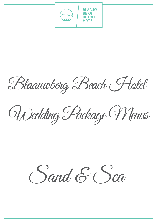

Blaauwberg Beach Hotel

Wedding Package Menus

Sand & Sea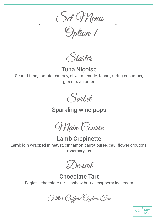Set Menu

Option 1

Starter

Tuna Niçoise Seared tuna, tomato chutney, olive tapenade, fennel, string cucumber, green bean puree

Sorbet

Sparkling wine pops

Main Course

Lamb Crepinette Lamb loin wrapped in netvet, cinnamon carrot puree, cauliflower croutons, rosemary jus

Dessert

Chocolate Tart Eggless chocolate tart, cashew brittle, raspberry ice cream

Filter Coffee/Ceylon Tea

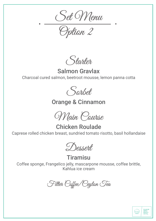Set Menu

Option 2

Starter

Salmon Gravlax Charcoal cured salmon, beetroot mousse, lemon panna cotta



## Orange & Cinnamon

Main Course

Chicken Roulade Caprese rolled chicken breast, sundried tomato risotto, basil hollandaise

Dessept

**Tiramisu** 

Coffee sponge, Frangelico jelly, mascarpone mousse, coffee brittle, Kahlua ice cream

Filter Coffee/Ceylon Tea

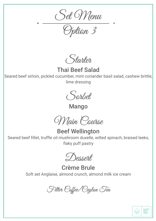Set Menu

Option 3

Starter

Thai Beef Salad

Seared beef sirloin, pickled cucumber, mint coriander basil salad, cashew brittle, lime dressing

Sorbet

Mango

Main Course

Beef Wellington

Seared beef fillet, truffle oil mushroom duxelle, wilted spinach, braised leeks, flaky puff pastry

Dessert

Crème Brule Soft set Anglaise, almond crunch, almond milk ice cream

Filter Coffee/Ceylon Tea

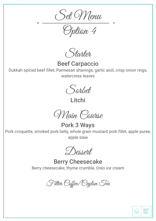Set Menu

Option 4

Starter

Beef Carpaccio

Dukkah spiced beef fillet, Parmesan shavings, garlic aioli, crisp onion rings, watercress leaves

Sorbet

Litchi

Main Course

Pork 3 Ways Pork croquette, smoked pork belly, whole grain mustard pork fillet, apple puree, apple slaw

Dessept

Berry Cheesecake Berry cheesecake, thyme crumble, Oreo ice cream

Filter Coffee/Ceylon Tea

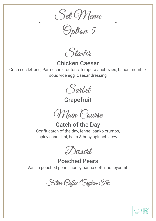Set Menu

Option 5

Starter

Chicken Caesar

Crisp cos lettuce, Parmesan croutons, tempura anchovies, bacon crumble, sous vide egg, Caesar dressing



**Grapefruit** 

Main Course

Catch of the Day Confit catch of the day, fennel panko crumbs, spicy cannellini, bean & baby spinach stew

Dessert

Poached Pears Vanilla poached pears, honey panna cotta, honeycomb

Filter Coffee/Ceylon Tea

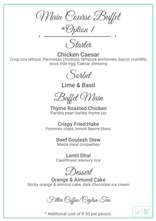Main Course Buffet

\*Option 1

Starter

Chicken Caesar Crisp cos lettuce, Parmesan croutons, tempura anchovies, bacon crumble, sous vide egg, Caesar dressing



Lime & Basil

Buffet Main

Thyme Roasted Chicken Parsley pearl barley, thyme jus

Crispy Fried Hake<br>Pommes chips, lemon beurre blanc

Beef Goulash Stew Maize meal croquettes

Lentil Dhal Cauliflower savoury rice

Dessert

Orange & Almond Cake Sticky orange & almond cake, dark chocolate ice cream

Filter Coffee/Ceylon Tea

\* Additional cost of R 50 per person

**BLAAUW<br>BERG<br>BEACH<br>HOTEL** 

 $\sim$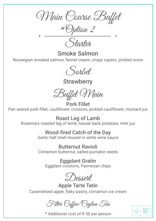Main Course Buffet

\*Option 2

Starton.

Smoke Salmon

Norwegian smoked salmon, fennel cream, crispy capers, pickled onion



**Strawberry** 

Buffet Main

Pork Fillet Pan seared pork fillet, cauliflower croutons, pickled cauliflower, mustard jus

Roast Leg of Lamb Rosemary roasted leg of lamb, hassle back potatoes, mint jus

## Wood-fired Catch of the Day

Garlic half shell mussel in white wine sauce

Butternut Ravioli Cinnamon butternut, salted pumpkin seeds

Eggplant Gratin Eggplant croutons, Parmesan chips

Dessert

Apple Tarte Tatin Caramelised apple, flaky pastry, cinnamon ice cream

Filter Coffee/Ceylon Tea

\* Additional cost of R 50 per person